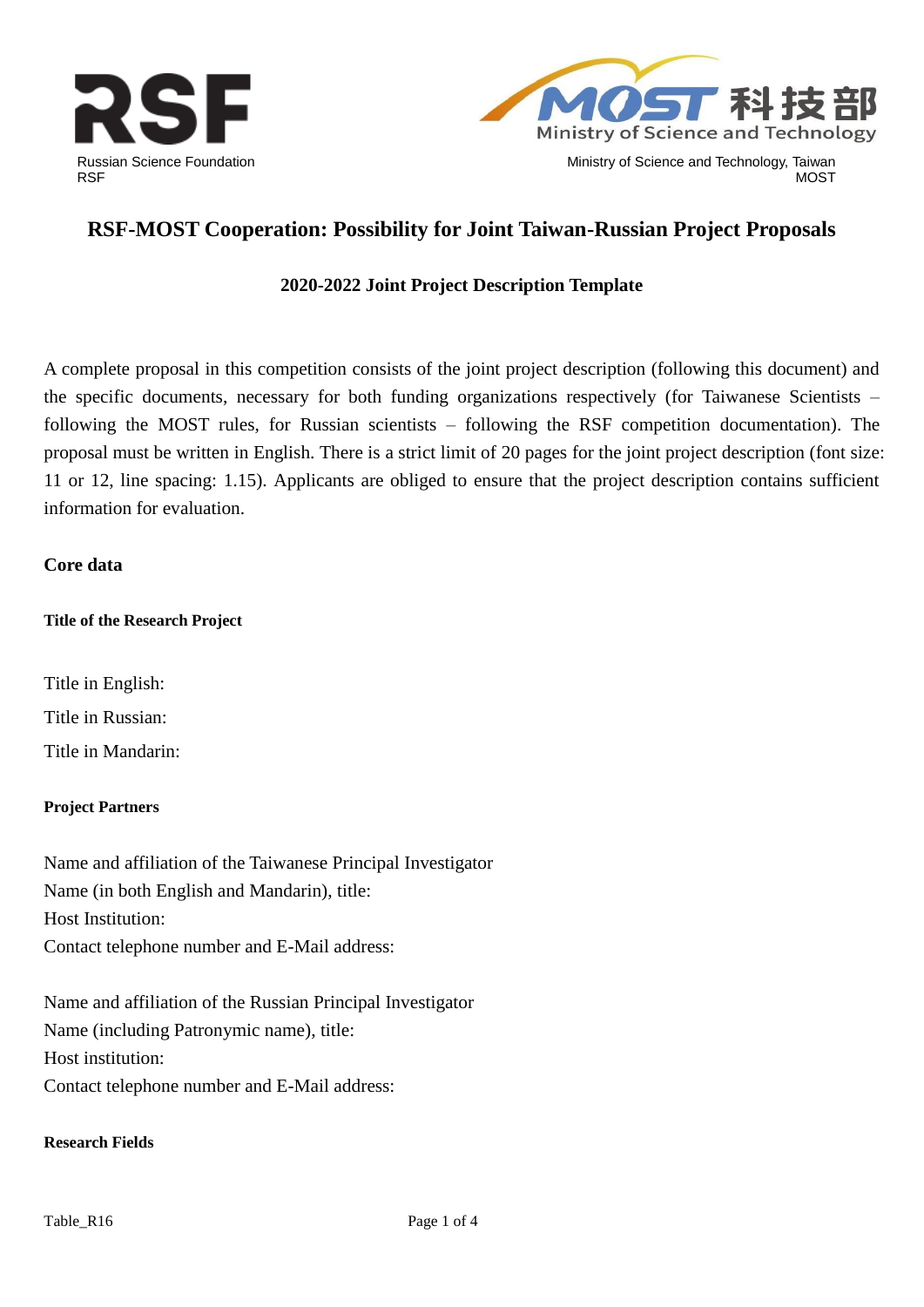



# **RSF-MOST Cooperation: Possibility for Joint Taiwan-Russian Project Proposals**

### **2020-2022 Joint Project Description Template**

A complete proposal in this competition consists of the joint project description (following this document) and the specific documents, necessary for both funding organizations respectively (for Taiwanese Scientists – following the MOST rules, for Russian scientists – following the RSF competition documentation). The proposal must be written in English. There is a strict limit of 20 pages for the joint project description (font size: 11 or 12, line spacing: 1.15). Applicants are obliged to ensure that the project description contains sufficient information for evaluation.

#### **Core data**

#### **Title of the Research Project**

Title in English: Title in Russian: Title in Mandarin:

#### **Project Partners**

Name and affiliation of the Taiwanese Principal Investigator Name (in both English and Mandarin), title: Host Institution: Contact telephone number and E-Mail address:

Name and affiliation of the Russian Principal Investigator Name (including Patronymic name), title: Host institution: Contact telephone number and E-Mail address:

#### **Research Fields**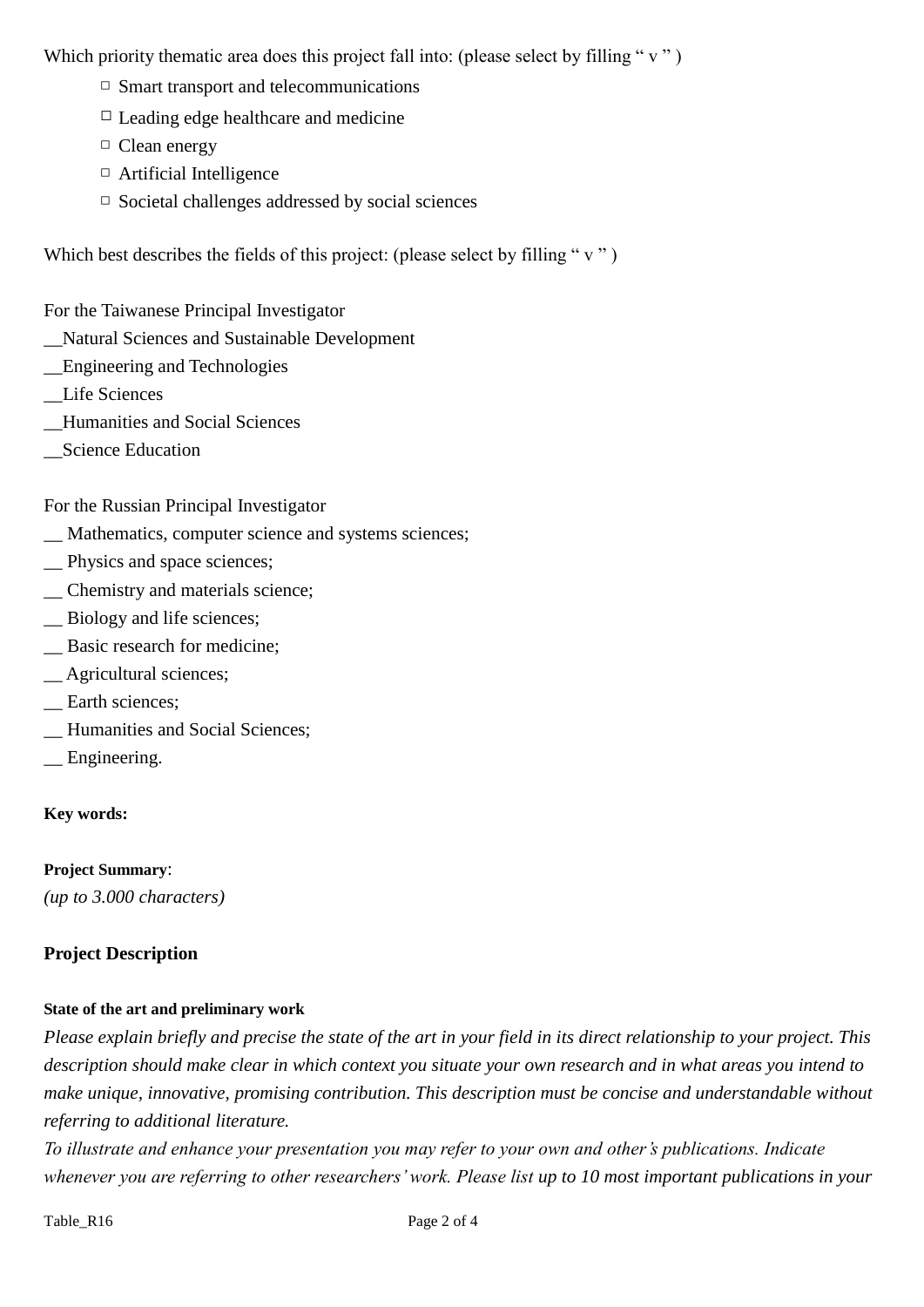Which priority thematic area does this project fall into: (please select by filling " $v$ ")

- $\Box$  Smart transport and telecommunications
- $\Box$  Leading edge healthcare and medicine
- □ Clean energy
- □ Artificial Intelligence
- $\Box$  Societal challenges addressed by social sciences

Which best describes the fields of this project: (please select by filling " $v$ ")

For the Taiwanese Principal Investigator

- \_\_Natural Sciences and Sustainable Development
- \_\_Engineering and Technologies
- \_\_Life Sciences
- \_\_Humanities and Social Sciences
- \_\_Science Education

For the Russian Principal Investigator

- \_\_ Mathematics, computer science and systems sciences;
- \_\_ Physics and space sciences;
- \_\_ Chemistry and materials science;
- \_\_ Biology and life sciences;
- \_\_ Basic research for medicine;
- \_\_ Agricultural sciences;
- \_\_ Earth sciences;
- \_\_ Humanities and Social Sciences;
- \_\_ Engineering.

#### **Key words:**

**Project Summary**: *(up to 3.000 characters)*

#### **Project Description**

#### **State of the art and preliminary work**

*Please explain briefly and precise the state of the art in your field in its direct relationship to your project. This description should make clear in which context you situate your own research and in what areas you intend to make unique, innovative, promising contribution. This description must be concise and understandable without referring to additional literature.*

*To illustrate and enhance your presentation you may refer to your own and other's publications. Indicate whenever you are referring to other researchers' work. Please list up to 10 most important publications in your*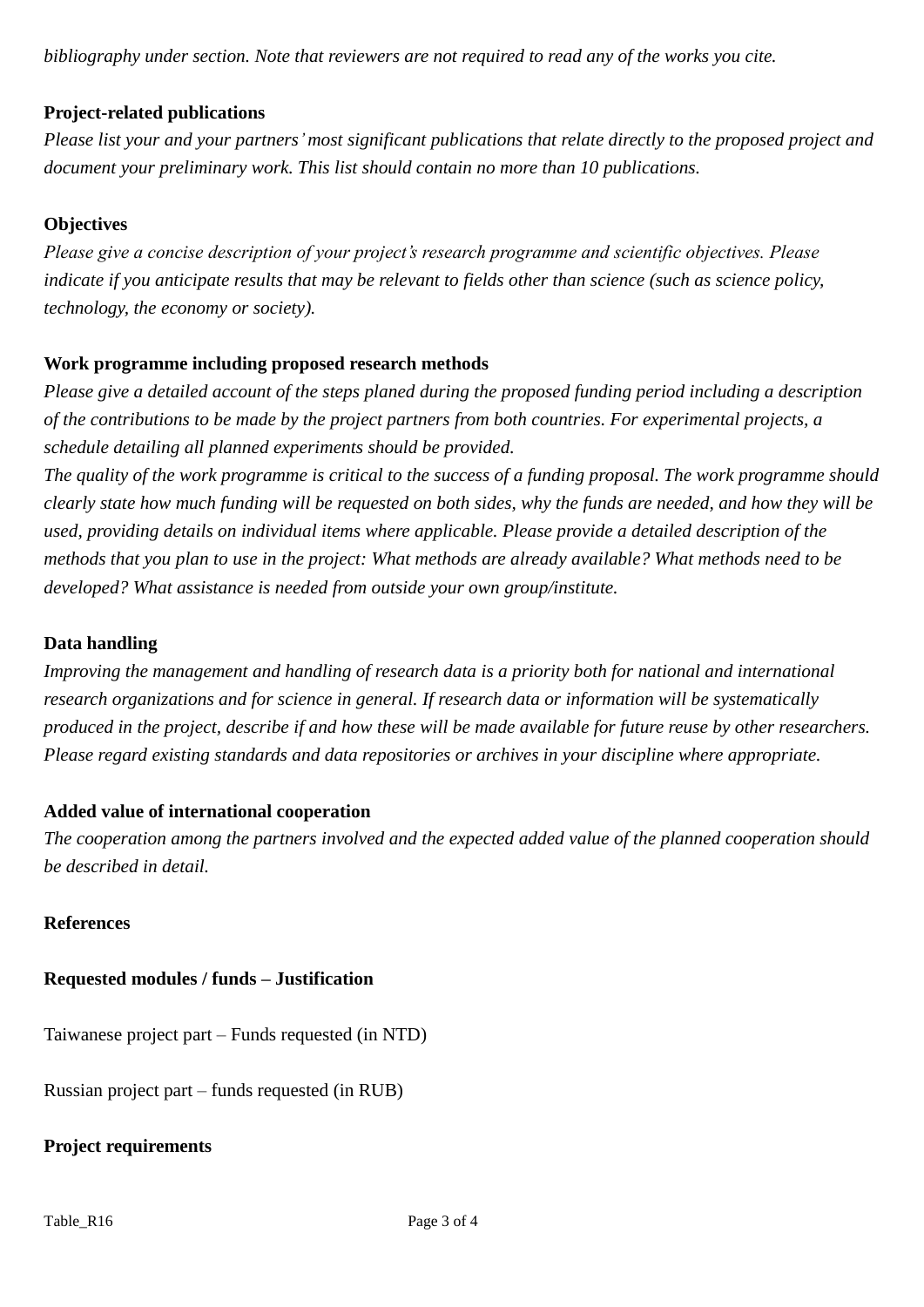*bibliography under section. Note that reviewers are not required to read any of the works you cite.*

## **Project-related publications**

*Please list your and your partners'most significant publications that relate directly to the proposed project and document your preliminary work. This list should contain no more than 10 publications.*

### **Objectives**

*Please give a concise description of your project's research programme and scientific objectives. Please indicate if you anticipate results that may be relevant to fields other than science (such as science policy, technology, the economy or society).* 

### **Work programme including proposed research methods**

*Please give a detailed account of the steps planed during the proposed funding period including a description of the contributions to be made by the project partners from both countries. For experimental projects, a schedule detailing all planned experiments should be provided.* 

*The quality of the work programme is critical to the success of a funding proposal. The work programme should clearly state how much funding will be requested on both sides, why the funds are needed, and how they will be used, providing details on individual items where applicable. Please provide a detailed description of the methods that you plan to use in the project: What methods are already available? What methods need to be developed? What assistance is needed from outside your own group/institute.*

### **Data handling**

*Improving the management and handling of research data is a priority both for national and international research organizations and for science in general. If research data or information will be systematically produced in the project, describe if and how these will be made available for future reuse by other researchers. Please regard existing standards and data repositories or archives in your discipline where appropriate.*

### **Added value of international cooperation**

*The cooperation among the partners involved and the expected added value of the planned cooperation should be described in detail.*

### **References**

# **Requested modules / funds – Justification**

Taiwanese project part – Funds requested (in NTD)

Russian project part – funds requested (in RUB)

## **Project requirements**